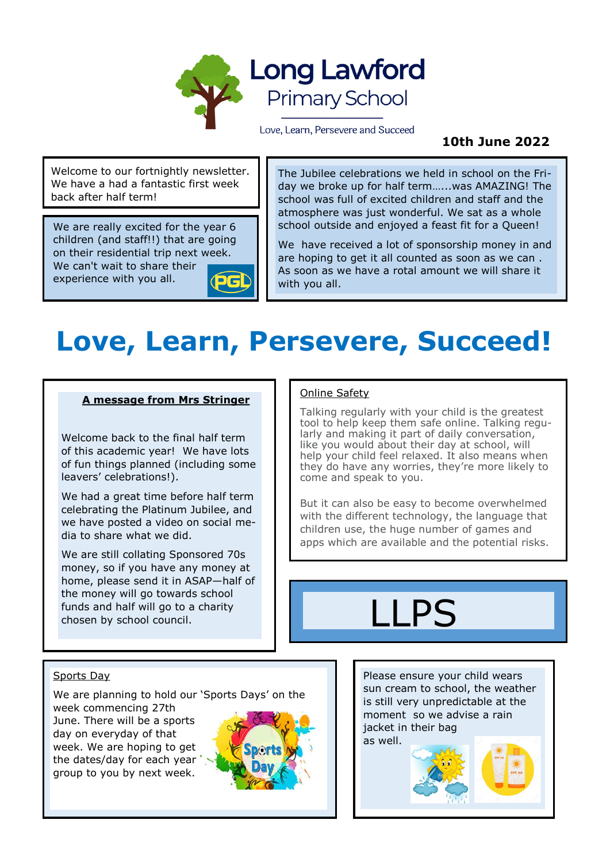

Love, Learn, Persevere and Succeed

## **10th June 2022**

Welcome to our fortnightly newsletter. We have a had a fantastic first week back after half term!

We are really excited for the year 6 children (and staff!!) that are going on their residential trip next week. We can't wait to share their experience with you all.



The Jubilee celebrations we held in school on the Friday we broke up for half term…...was AMAZING! The school was full of excited children and staff and the atmosphere was just wonderful. We sat as a whole school outside and enjoyed a feast fit for a Queen!

We have received a lot of sponsorship money in and are hoping to get it all counted as soon as we can . As soon as we have a rotal amount we will share it with you all.

# **Love, Learn, Persevere, Succeed!**

#### **A message from Mrs Stringer**

Welcome back to the final half term of this academic year! We have lots of fun things planned (including some leavers' celebrations!).

We had a great time before half term celebrating the Platinum Jubilee, and we have posted a video on social media to share what we did.

We are still collating Sponsored 70s money, so if you have any money at home, please send it in ASAP—half of the money will go towards school funds and half will go to a charity chosen by school council.

### Online Safety

Talking regularly with your child is the greatest tool to help keep them safe online. Talking regularly and making it part of daily conversation, like you would about their day at school, will help your child feel relaxed. It also means when they do have any worries, they're more likely to come and speak to you.

But it can also be easy to become overwhelmed with the different technology, the language that children use, the huge number of games and apps which are available and the potential risks.



## Sports Day

We are planning to hold our 'Sports Days' on the week commencing 27th June. There will be a sports day on everyday of that

week. We are hoping to get the dates/day for each year group to you by next week.



Please ensure your child wears sun cream to school, the weather is still very unpredictable at the moment so we advise a rain jacket in their bag